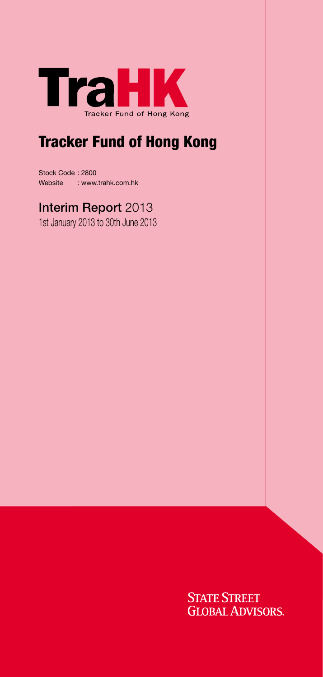

# Tracker Fund of Hong Kong

Stock Code : 2800 Website : www.trahk.com.hk

## Interim Report 2013

1st January 2013 to 30th June 2013

**STATE STREET GLOBAL ADVISORS**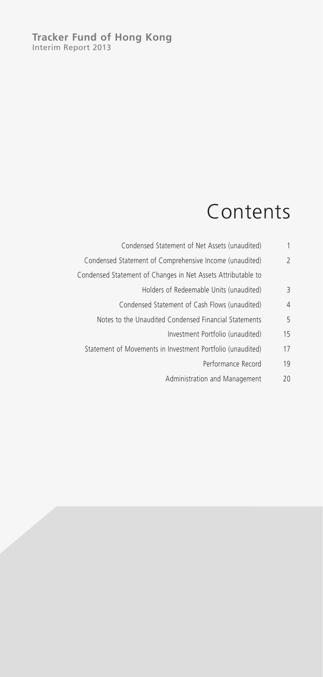# Contents

| 1              | Condensed Statement of Net Assets (unaudited)                |
|----------------|--------------------------------------------------------------|
| $\overline{2}$ | Condensed Statement of Comprehensive Income (unaudited)      |
|                | Condensed Statement of Changes in Net Assets Attributable to |
| 3              | Holders of Redeemable Units (unaudited)                      |
| 4              | Condensed Statement of Cash Flows (unaudited)                |
| 5              | Notes to the Unaudited Condensed Financial Statements        |
| 15             | Investment Portfolio (unaudited)                             |
| 17             | Statement of Movements in Investment Portfolio (unaudited)   |
| 19             | Performance Record                                           |
| 20             | Administration and Management                                |
|                |                                                              |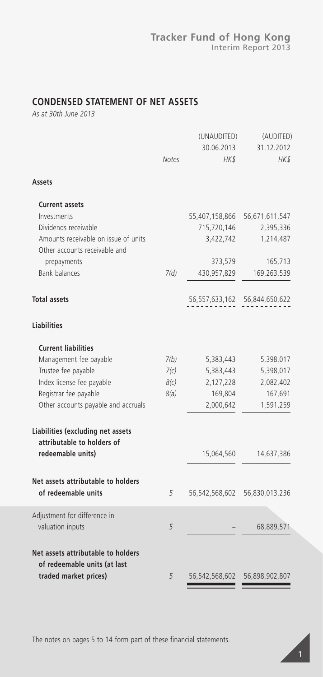### **CONDENSED STATEMENT OF NET ASSETS**

*As at 30th June 2013*

| <b>Notes</b> | (UNAUDITED)<br>30.06.2013<br>HK\$ | (AUDITED)<br>31.12.2012<br>HK\$                                                                                                   |
|--------------|-----------------------------------|-----------------------------------------------------------------------------------------------------------------------------------|
|              |                                   |                                                                                                                                   |
|              |                                   |                                                                                                                                   |
|              |                                   | 56,671,611,547                                                                                                                    |
|              |                                   | 2,395,336                                                                                                                         |
|              |                                   | 1,214,487                                                                                                                         |
|              |                                   | 165,713                                                                                                                           |
|              |                                   | 169,263,539                                                                                                                       |
|              |                                   |                                                                                                                                   |
|              |                                   |                                                                                                                                   |
|              |                                   |                                                                                                                                   |
|              |                                   |                                                                                                                                   |
| 7(b)         | 5,383,443                         | 5,398,017                                                                                                                         |
| 7(c)         | 5,383,443                         | 5,398,017                                                                                                                         |
| 8(c)         | 2,127,228                         | 2,082,402                                                                                                                         |
| 8(a)         | 169,804                           | 167,691                                                                                                                           |
|              | 2,000,642                         | 1,591,259                                                                                                                         |
|              |                                   |                                                                                                                                   |
|              |                                   |                                                                                                                                   |
|              |                                   |                                                                                                                                   |
| 5            |                                   | 56,830,013,236                                                                                                                    |
| 5            |                                   | 68,889,571                                                                                                                        |
| 5            |                                   | 56,898,902,807                                                                                                                    |
|              | 7(d)                              | 55,407,158,866<br>715,720,146<br>3,422,742<br>373,579<br>430,957,829<br>15,064,560 14,637,386<br>56,542,568,602<br>56,542,568,602 |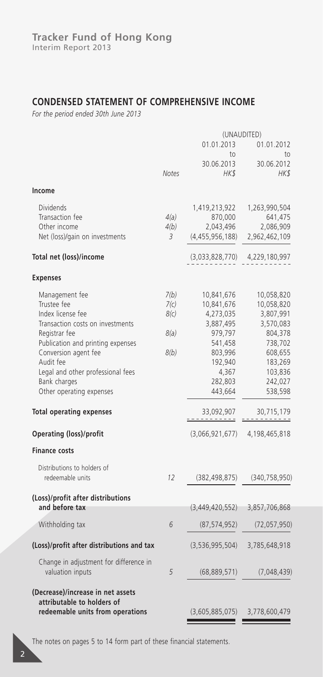### **CONDENSED STATEMENT OF COMPREHENSIVE INCOME**

*For the period ended 30th June 2013*

|                                                                |              | (UNAUDITED)                       |                 |  |
|----------------------------------------------------------------|--------------|-----------------------------------|-----------------|--|
|                                                                |              | 01.01.2013                        | 01.01.2012      |  |
|                                                                |              | to                                | to              |  |
|                                                                |              | 30.06.2013                        | 30.06.2012      |  |
|                                                                | <b>Notes</b> | HK\$                              | HK\$            |  |
| Income                                                         |              |                                   |                 |  |
| <b>Dividends</b>                                               |              | 1,419,213,922                     | 1,263,990,504   |  |
| Transaction fee                                                | 4(a)         | 870,000                           | 641,475         |  |
| Other income                                                   | 4(b)         | 2,043,496                         | 2,086,909       |  |
| Net (loss)/gain on investments                                 | 3            | (4, 455, 956, 188)                | 2,962,462,109   |  |
| Total net (loss)/income                                        |              | (3,033,828,770)                   | 4,229,180,997   |  |
| <b>Expenses</b>                                                |              |                                   |                 |  |
| Management fee                                                 | 7(b)         | 10,841,676                        | 10,058,820      |  |
| Trustee fee                                                    | 7(c)         | 10,841,676                        | 10,058,820      |  |
| Index license fee                                              | 8(c)         | 4,273,035                         | 3,807,991       |  |
| Transaction costs on investments                               |              | 3,887,495                         | 3,570,083       |  |
| Registrar fee                                                  | 8(a)         | 979,797                           | 804,378         |  |
| Publication and printing expenses                              |              | 541,458                           | 738,702         |  |
| Conversion agent fee                                           | 8(b)         | 803,996                           | 608,655         |  |
| Audit fee                                                      |              | 192,940                           | 183,269         |  |
| Legal and other professional fees                              |              | 4,367                             | 103,836         |  |
| Bank charges                                                   |              | 282,803                           | 242,027         |  |
| Other operating expenses                                       |              | 443,664                           | 538,598         |  |
| <b>Total operating expenses</b>                                |              | 33,092,907                        | 30,715,179      |  |
|                                                                |              |                                   |                 |  |
| <b>Operating (loss)/profit</b>                                 |              | (3,066,921,677)                   | 4,198,465,818   |  |
| <b>Finance costs</b>                                           |              |                                   |                 |  |
| Distributions to holders of                                    |              |                                   |                 |  |
| redeemable units                                               | 12           | (382, 498, 875)                   | (340, 758, 950) |  |
| (Loss)/profit after distributions                              |              |                                   |                 |  |
| and before tax                                                 |              | (3,449,420,552)                   | 3,857,706,868   |  |
| Withholding tax                                                | 6            | (87, 574, 952)                    | (72,057,950)    |  |
| (Loss)/profit after distributions and tax                      |              | (3,536,995,504)                   | 3,785,648,918   |  |
| Change in adjustment for difference in                         |              |                                   |                 |  |
| valuation inputs                                               | 5            | (68, 889, 571)                    | (7,048,439)     |  |
| (Decrease)/increase in net assets                              |              |                                   |                 |  |
| attributable to holders of<br>redeemable units from operations |              | $(3,605,885,075)$ $3,778,600,479$ |                 |  |
|                                                                |              |                                   |                 |  |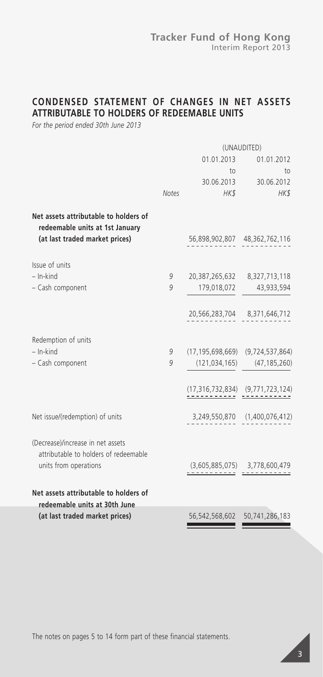### **CONDENSED STATEMENT OF CHANGES IN NET ASSETS ATTRIBUTABLE TO HOLDERS OF REDEEMABLE UNITS**

*For the period ended 30th June 2013*

|                                                                                                            |              | (UNAUDITED)                                |                                   |  |
|------------------------------------------------------------------------------------------------------------|--------------|--------------------------------------------|-----------------------------------|--|
|                                                                                                            | 01.01.2013   |                                            | 01.01.2012                        |  |
|                                                                                                            |              | $\overline{10}$                            | to                                |  |
|                                                                                                            |              |                                            | 30.06.2013 30.06.2012             |  |
|                                                                                                            | <b>Notes</b> | HK\$                                       | HK\$                              |  |
| Net assets attributable to holders of<br>redeemable units at 1st January<br>(at last traded market prices) |              |                                            | 56,898,902,807 48,362,762,116     |  |
| Issue of units                                                                                             |              |                                            |                                   |  |
| $-$ In-kind                                                                                                | 9            |                                            | 20,387,265,632 8,327,713,118      |  |
| - Cash component                                                                                           | 9            | 179,018,072                                | 43,933,594                        |  |
|                                                                                                            |              |                                            | 20,566,283,704 8,371,646,712      |  |
| Redemption of units                                                                                        |              |                                            |                                   |  |
| $-$ In-kind                                                                                                | 9            | $(17, 195, 698, 669)$ $(9, 724, 537, 864)$ |                                   |  |
| - Cash component                                                                                           | 9            | (121, 034, 165)                            | (47, 185, 260)                    |  |
|                                                                                                            |              | $(17, 316, 732, 834)$ $(9, 771, 723, 124)$ |                                   |  |
| Net issue/(redemption) of units                                                                            |              |                                            | 3,249,550,870 (1,400,076,412)     |  |
| (Decrease)/increase in net assets<br>attributable to holders of redeemable                                 |              |                                            |                                   |  |
| units from operations                                                                                      |              |                                            | $(3,605,885,075)$ $3,778,600,479$ |  |
| Net assets attributable to holders of                                                                      |              |                                            |                                   |  |
| redeemable units at 30th June                                                                              |              |                                            |                                   |  |
| (at last traded market prices)                                                                             |              | 56,542,568,602                             | 50,741,286,183                    |  |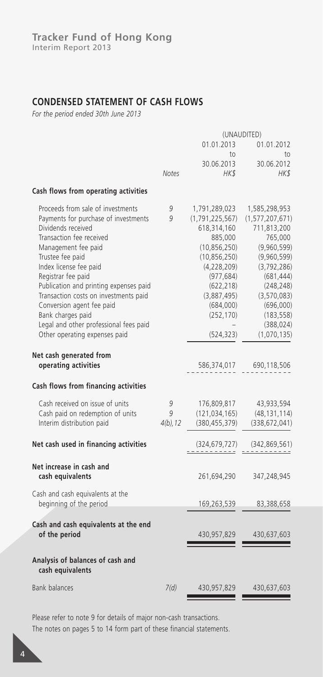### **CONDENSED STATEMENT OF CASH FLOWS**

*For the period ended 30th June 2013*

| 01.01.2013<br>01.01.2012<br>to<br>to<br>30.06.2013<br>30.06.2012<br>HK\$<br>Notes<br>HK\$<br>Cash flows from operating activities<br>Proceeds from sale of investments<br>9<br>1,791,289,023<br>1,585,298,953<br>Payments for purchase of investments<br>9<br>(1, 791, 225, 567)<br>(1, 577, 207, 671)<br>Dividends received<br>618,314,160<br>711,813,200<br>Transaction fee received<br>885,000<br>765,000<br>Management fee paid<br>(10, 856, 250)<br>(9,960,599)<br>Trustee fee paid<br>(10, 856, 250)<br>(9,960,599)<br>Index license fee paid<br>(4,228,209)<br>(3, 792, 286)<br>Registrar fee paid<br>(977, 684)<br>(681, 444)<br>Publication and printing expenses paid<br>(622, 218)<br>(248, 248)<br>Transaction costs on investments paid<br>(3,887,495)<br>(3,570,083)<br>Conversion agent fee paid<br>(684,000)<br>(696,000)<br>Bank charges paid<br>(252, 170)<br>(183, 558)<br>Legal and other professional fees paid<br>(388, 024)<br>Other operating expenses paid<br>(524, 323)<br>(1,070,135)<br>Net cash generated from<br>operating activities<br>586,374,017<br>690,118,506<br>Cash flows from financing activities<br>Cash received on issue of units<br>176,809,817<br>9<br>43,933,594<br>Cash paid on redemption of units<br>9<br>(121, 034, 165)<br>(48, 131, 114)<br>Interim distribution paid<br>$4(b)$ , 12<br>(380, 455, 379)<br>(338, 672, 041)<br>Net cash used in financing activities<br>(324,679,727)<br>(342, 869, 561)<br>Net increase in cash and<br>cash equivalents<br>261,694,290<br>347,248,945<br>Cash and cash equivalents at the<br>beginning of the period<br>169,263,539<br>83,388,658<br>Cash and cash equivalents at the end<br>of the period<br>430,957,829<br>430,637,603<br>Analysis of balances of cash and<br>cash equivalents<br><b>Bank balances</b><br>7(d)<br>430,957,829<br>430,637,603 | (UNAUDITED) |  |  |
|----------------------------------------------------------------------------------------------------------------------------------------------------------------------------------------------------------------------------------------------------------------------------------------------------------------------------------------------------------------------------------------------------------------------------------------------------------------------------------------------------------------------------------------------------------------------------------------------------------------------------------------------------------------------------------------------------------------------------------------------------------------------------------------------------------------------------------------------------------------------------------------------------------------------------------------------------------------------------------------------------------------------------------------------------------------------------------------------------------------------------------------------------------------------------------------------------------------------------------------------------------------------------------------------------------------------------------------------------------------------------------------------------------------------------------------------------------------------------------------------------------------------------------------------------------------------------------------------------------------------------------------------------------------------------------------------------------------------------------------------------------------------------------------------------------------------------------------------------|-------------|--|--|
|                                                                                                                                                                                                                                                                                                                                                                                                                                                                                                                                                                                                                                                                                                                                                                                                                                                                                                                                                                                                                                                                                                                                                                                                                                                                                                                                                                                                                                                                                                                                                                                                                                                                                                                                                                                                                                                    |             |  |  |
|                                                                                                                                                                                                                                                                                                                                                                                                                                                                                                                                                                                                                                                                                                                                                                                                                                                                                                                                                                                                                                                                                                                                                                                                                                                                                                                                                                                                                                                                                                                                                                                                                                                                                                                                                                                                                                                    |             |  |  |
|                                                                                                                                                                                                                                                                                                                                                                                                                                                                                                                                                                                                                                                                                                                                                                                                                                                                                                                                                                                                                                                                                                                                                                                                                                                                                                                                                                                                                                                                                                                                                                                                                                                                                                                                                                                                                                                    |             |  |  |
|                                                                                                                                                                                                                                                                                                                                                                                                                                                                                                                                                                                                                                                                                                                                                                                                                                                                                                                                                                                                                                                                                                                                                                                                                                                                                                                                                                                                                                                                                                                                                                                                                                                                                                                                                                                                                                                    |             |  |  |
|                                                                                                                                                                                                                                                                                                                                                                                                                                                                                                                                                                                                                                                                                                                                                                                                                                                                                                                                                                                                                                                                                                                                                                                                                                                                                                                                                                                                                                                                                                                                                                                                                                                                                                                                                                                                                                                    |             |  |  |
|                                                                                                                                                                                                                                                                                                                                                                                                                                                                                                                                                                                                                                                                                                                                                                                                                                                                                                                                                                                                                                                                                                                                                                                                                                                                                                                                                                                                                                                                                                                                                                                                                                                                                                                                                                                                                                                    |             |  |  |
|                                                                                                                                                                                                                                                                                                                                                                                                                                                                                                                                                                                                                                                                                                                                                                                                                                                                                                                                                                                                                                                                                                                                                                                                                                                                                                                                                                                                                                                                                                                                                                                                                                                                                                                                                                                                                                                    |             |  |  |
|                                                                                                                                                                                                                                                                                                                                                                                                                                                                                                                                                                                                                                                                                                                                                                                                                                                                                                                                                                                                                                                                                                                                                                                                                                                                                                                                                                                                                                                                                                                                                                                                                                                                                                                                                                                                                                                    |             |  |  |
|                                                                                                                                                                                                                                                                                                                                                                                                                                                                                                                                                                                                                                                                                                                                                                                                                                                                                                                                                                                                                                                                                                                                                                                                                                                                                                                                                                                                                                                                                                                                                                                                                                                                                                                                                                                                                                                    |             |  |  |
|                                                                                                                                                                                                                                                                                                                                                                                                                                                                                                                                                                                                                                                                                                                                                                                                                                                                                                                                                                                                                                                                                                                                                                                                                                                                                                                                                                                                                                                                                                                                                                                                                                                                                                                                                                                                                                                    |             |  |  |
|                                                                                                                                                                                                                                                                                                                                                                                                                                                                                                                                                                                                                                                                                                                                                                                                                                                                                                                                                                                                                                                                                                                                                                                                                                                                                                                                                                                                                                                                                                                                                                                                                                                                                                                                                                                                                                                    |             |  |  |
|                                                                                                                                                                                                                                                                                                                                                                                                                                                                                                                                                                                                                                                                                                                                                                                                                                                                                                                                                                                                                                                                                                                                                                                                                                                                                                                                                                                                                                                                                                                                                                                                                                                                                                                                                                                                                                                    |             |  |  |
|                                                                                                                                                                                                                                                                                                                                                                                                                                                                                                                                                                                                                                                                                                                                                                                                                                                                                                                                                                                                                                                                                                                                                                                                                                                                                                                                                                                                                                                                                                                                                                                                                                                                                                                                                                                                                                                    |             |  |  |
|                                                                                                                                                                                                                                                                                                                                                                                                                                                                                                                                                                                                                                                                                                                                                                                                                                                                                                                                                                                                                                                                                                                                                                                                                                                                                                                                                                                                                                                                                                                                                                                                                                                                                                                                                                                                                                                    |             |  |  |
|                                                                                                                                                                                                                                                                                                                                                                                                                                                                                                                                                                                                                                                                                                                                                                                                                                                                                                                                                                                                                                                                                                                                                                                                                                                                                                                                                                                                                                                                                                                                                                                                                                                                                                                                                                                                                                                    |             |  |  |
|                                                                                                                                                                                                                                                                                                                                                                                                                                                                                                                                                                                                                                                                                                                                                                                                                                                                                                                                                                                                                                                                                                                                                                                                                                                                                                                                                                                                                                                                                                                                                                                                                                                                                                                                                                                                                                                    |             |  |  |
|                                                                                                                                                                                                                                                                                                                                                                                                                                                                                                                                                                                                                                                                                                                                                                                                                                                                                                                                                                                                                                                                                                                                                                                                                                                                                                                                                                                                                                                                                                                                                                                                                                                                                                                                                                                                                                                    |             |  |  |
|                                                                                                                                                                                                                                                                                                                                                                                                                                                                                                                                                                                                                                                                                                                                                                                                                                                                                                                                                                                                                                                                                                                                                                                                                                                                                                                                                                                                                                                                                                                                                                                                                                                                                                                                                                                                                                                    |             |  |  |
|                                                                                                                                                                                                                                                                                                                                                                                                                                                                                                                                                                                                                                                                                                                                                                                                                                                                                                                                                                                                                                                                                                                                                                                                                                                                                                                                                                                                                                                                                                                                                                                                                                                                                                                                                                                                                                                    |             |  |  |
|                                                                                                                                                                                                                                                                                                                                                                                                                                                                                                                                                                                                                                                                                                                                                                                                                                                                                                                                                                                                                                                                                                                                                                                                                                                                                                                                                                                                                                                                                                                                                                                                                                                                                                                                                                                                                                                    |             |  |  |
|                                                                                                                                                                                                                                                                                                                                                                                                                                                                                                                                                                                                                                                                                                                                                                                                                                                                                                                                                                                                                                                                                                                                                                                                                                                                                                                                                                                                                                                                                                                                                                                                                                                                                                                                                                                                                                                    |             |  |  |
|                                                                                                                                                                                                                                                                                                                                                                                                                                                                                                                                                                                                                                                                                                                                                                                                                                                                                                                                                                                                                                                                                                                                                                                                                                                                                                                                                                                                                                                                                                                                                                                                                                                                                                                                                                                                                                                    |             |  |  |
|                                                                                                                                                                                                                                                                                                                                                                                                                                                                                                                                                                                                                                                                                                                                                                                                                                                                                                                                                                                                                                                                                                                                                                                                                                                                                                                                                                                                                                                                                                                                                                                                                                                                                                                                                                                                                                                    |             |  |  |
|                                                                                                                                                                                                                                                                                                                                                                                                                                                                                                                                                                                                                                                                                                                                                                                                                                                                                                                                                                                                                                                                                                                                                                                                                                                                                                                                                                                                                                                                                                                                                                                                                                                                                                                                                                                                                                                    |             |  |  |
|                                                                                                                                                                                                                                                                                                                                                                                                                                                                                                                                                                                                                                                                                                                                                                                                                                                                                                                                                                                                                                                                                                                                                                                                                                                                                                                                                                                                                                                                                                                                                                                                                                                                                                                                                                                                                                                    |             |  |  |
|                                                                                                                                                                                                                                                                                                                                                                                                                                                                                                                                                                                                                                                                                                                                                                                                                                                                                                                                                                                                                                                                                                                                                                                                                                                                                                                                                                                                                                                                                                                                                                                                                                                                                                                                                                                                                                                    |             |  |  |
|                                                                                                                                                                                                                                                                                                                                                                                                                                                                                                                                                                                                                                                                                                                                                                                                                                                                                                                                                                                                                                                                                                                                                                                                                                                                                                                                                                                                                                                                                                                                                                                                                                                                                                                                                                                                                                                    |             |  |  |
|                                                                                                                                                                                                                                                                                                                                                                                                                                                                                                                                                                                                                                                                                                                                                                                                                                                                                                                                                                                                                                                                                                                                                                                                                                                                                                                                                                                                                                                                                                                                                                                                                                                                                                                                                                                                                                                    |             |  |  |
|                                                                                                                                                                                                                                                                                                                                                                                                                                                                                                                                                                                                                                                                                                                                                                                                                                                                                                                                                                                                                                                                                                                                                                                                                                                                                                                                                                                                                                                                                                                                                                                                                                                                                                                                                                                                                                                    |             |  |  |
|                                                                                                                                                                                                                                                                                                                                                                                                                                                                                                                                                                                                                                                                                                                                                                                                                                                                                                                                                                                                                                                                                                                                                                                                                                                                                                                                                                                                                                                                                                                                                                                                                                                                                                                                                                                                                                                    |             |  |  |
|                                                                                                                                                                                                                                                                                                                                                                                                                                                                                                                                                                                                                                                                                                                                                                                                                                                                                                                                                                                                                                                                                                                                                                                                                                                                                                                                                                                                                                                                                                                                                                                                                                                                                                                                                                                                                                                    |             |  |  |

Please refer to note 9 for details of major non-cash transactions.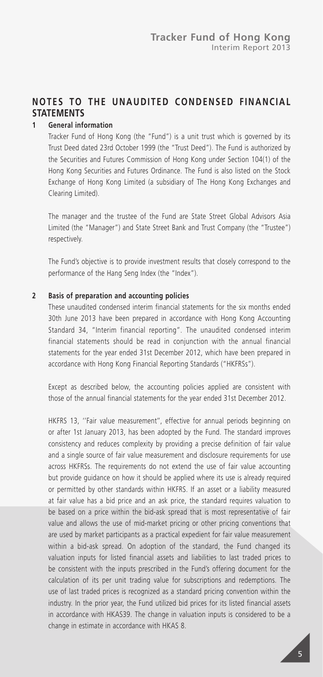### **NOTES TO THE UNAUDITED CONDENSED FINANCIAL STATEMENTS**

#### **1 General information**

Tracker Fund of Hong Kong (the "Fund") is a unit trust which is governed by its Trust Deed dated 23rd October 1999 (the "Trust Deed"). The Fund is authorized by the Securities and Futures Commission of Hong Kong under Section 104(1) of the Hong Kong Securities and Futures Ordinance. The Fund is also listed on the Stock Exchange of Hong Kong Limited (a subsidiary of The Hong Kong Exchanges and Clearing Limited).

The manager and the trustee of the Fund are State Street Global Advisors Asia Limited (the "Manager") and State Street Bank and Trust Company (the "Trustee") respectively.

The Fund's objective is to provide investment results that closely correspond to the performance of the Hang Seng Index (the "Index").

#### **2 Basis of preparation and accounting policies**

These unaudited condensed interim financial statements for the six months ended 30th June 2013 have been prepared in accordance with Hong Kong Accounting Standard 34, "Interim financial reporting". The unaudited condensed interim financial statements should be read in conjunction with the annual financial statements for the year ended 31st December 2012, which have been prepared in accordance with Hong Kong Financial Reporting Standards ("HKFRSs").

Except as described below, the accounting policies applied are consistent with those of the annual financial statements for the year ended 31st December 2012.

HKFRS 13, ''Fair value measurement'', effective for annual periods beginning on or after 1st January 2013, has been adopted by the Fund. The standard improves consistency and reduces complexity by providing a precise definition of fair value and a single source of fair value measurement and disclosure requirements for use across HKFRSs. The requirements do not extend the use of fair value accounting but provide guidance on how it should be applied where its use is already required or permitted by other standards within HKFRS. If an asset or a liability measured at fair value has a bid price and an ask price, the standard requires valuation to be based on a price within the bid-ask spread that is most representative of fair value and allows the use of mid-market pricing or other pricing conventions that are used by market participants as a practical expedient for fair value measurement within a bid-ask spread. On adoption of the standard, the Fund changed its valuation inputs for listed financial assets and liabilities to last traded prices to be consistent with the inputs prescribed in the Fund's offering document for the calculation of its per unit trading value for subscriptions and redemptions. The use of last traded prices is recognized as a standard pricing convention within the industry. In the prior year, the Fund utilized bid prices for its listed financial assets in accordance with HKAS39. The change in valuation inputs is considered to be a change in estimate in accordance with HKAS 8.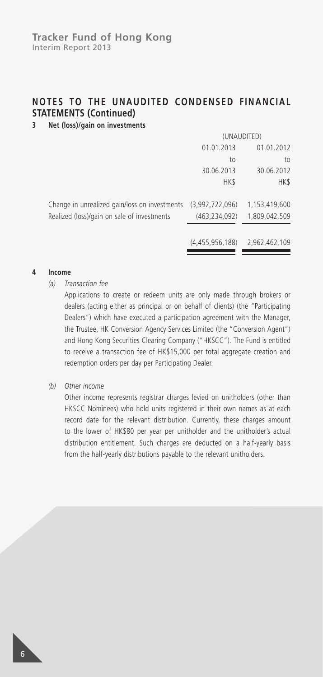### **3 Net (loss)/gain on investments**

|                                               | (UNAUDITED)     |               |  |
|-----------------------------------------------|-----------------|---------------|--|
|                                               | 01.01.2013      | 01.01.2012    |  |
|                                               | to              | to            |  |
|                                               | 30.06.2013      | 30.06.2012    |  |
|                                               | HK\$            | HK\$          |  |
|                                               |                 |               |  |
| Change in unrealized gain/loss on investments | (3,992,722,096) | 1,153,419,600 |  |
| Realized (loss)/gain on sale of investments   | (463, 234, 092) | 1,809,042,509 |  |
|                                               |                 |               |  |
|                                               | (4,455,956,188) | 2,962,462,109 |  |

#### **4 Income**

#### *(a) Transaction fee*

Applications to create or redeem units are only made through brokers or dealers (acting either as principal or on behalf of clients) (the "Participating Dealers") which have executed a participation agreement with the Manager, the Trustee, HK Conversion Agency Services Limited (the "Conversion Agent") and Hong Kong Securities Clearing Company ("HKSCC"). The Fund is entitled to receive a transaction fee of HK\$15,000 per total aggregate creation and redemption orders per day per Participating Dealer.

#### *(b) Other income*

Other income represents registrar charges levied on unitholders (other than HKSCC Nominees) who hold units registered in their own names as at each record date for the relevant distribution. Currently, these charges amount to the lower of HK\$80 per year per unitholder and the unitholder's actual distribution entitlement. Such charges are deducted on a half-yearly basis from the half-yearly distributions payable to the relevant unitholders.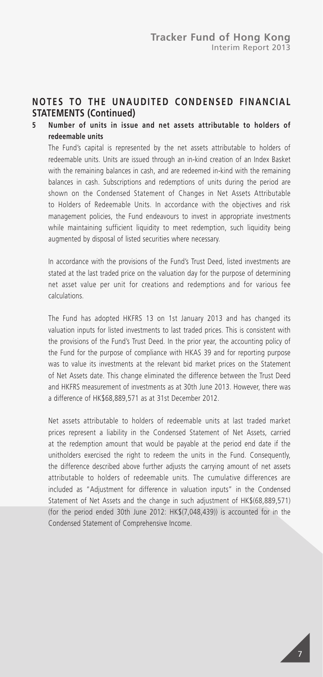### **5 Number of units in issue and net assets attributable to holders of redeemable units**

The Fund's capital is represented by the net assets attributable to holders of redeemable units. Units are issued through an in-kind creation of an Index Basket with the remaining balances in cash, and are redeemed in-kind with the remaining balances in cash. Subscriptions and redemptions of units during the period are shown on the Condensed Statement of Changes in Net Assets Attributable to Holders of Redeemable Units. In accordance with the objectives and risk management policies, the Fund endeavours to invest in appropriate investments while maintaining sufficient liquidity to meet redemption, such liquidity being augmented by disposal of listed securities where necessary.

In accordance with the provisions of the Fund's Trust Deed, listed investments are stated at the last traded price on the valuation day for the purpose of determining net asset value per unit for creations and redemptions and for various fee calculations.

The Fund has adopted HKFRS 13 on 1st January 2013 and has changed its valuation inputs for listed investments to last traded prices. This is consistent with the provisions of the Fund's Trust Deed. In the prior year, the accounting policy of the Fund for the purpose of compliance with HKAS 39 and for reporting purpose was to value its investments at the relevant bid market prices on the Statement of Net Assets date. This change eliminated the difference between the Trust Deed and HKFRS measurement of investments as at 30th June 2013. However, there was a difference of HK\$68,889,571 as at 31st December 2012.

Net assets attributable to holders of redeemable units at last traded market prices represent a liability in the Condensed Statement of Net Assets, carried at the redemption amount that would be payable at the period end date if the unitholders exercised the right to redeem the units in the Fund. Consequently, the difference described above further adjusts the carrying amount of net assets attributable to holders of redeemable units. The cumulative differences are included as "Adjustment for difference in valuation inputs" in the Condensed Statement of Net Assets and the change in such adjustment of HK\$(68,889,571) (for the period ended 30th June 2012: HK\$(7,048,439)) is accounted for in the Condensed Statement of Comprehensive Income.

7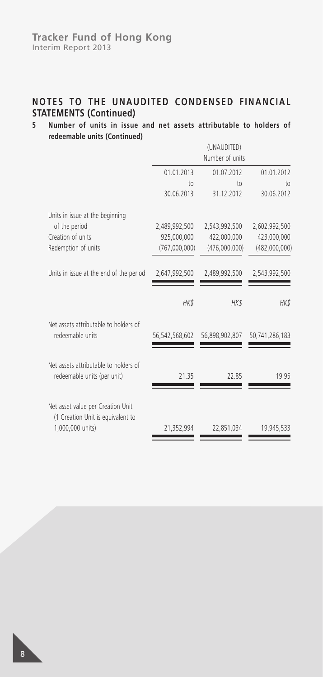#### **Tracker Fund of Hong Kong** Interim Report 2013

### **NOTES TO THE UNAUDITED CONDENSED FINANCIAL STATEMENTS (Continued)**

### **5 Number of units in issue and net assets attributable to holders of redeemable units (Continued)**

|                                                                                            |                | (UNAUDITED)<br>Number of units |                |
|--------------------------------------------------------------------------------------------|----------------|--------------------------------|----------------|
|                                                                                            | 01.01.2013     | 01.07.2012                     | 01.01.2012     |
|                                                                                            | $\uparrow$     | 10 <sub>1</sub>                | $\uparrow$     |
|                                                                                            | 30.06.2013     | 31.12.2012                     | 30.06.2012     |
| Units in issue at the beginning                                                            |                |                                |                |
| of the period                                                                              | 2,489,992,500  | 2,543,992,500                  | 2,602,992,500  |
| Creation of units                                                                          | 925,000,000    | 422,000,000                    | 423,000,000    |
| Redemption of units                                                                        | (767,000,000)  | (476,000,000)                  | (482,000,000)  |
| Units in issue at the end of the period                                                    | 2,647,992,500  | 2,489,992,500                  | 2,543,992,500  |
|                                                                                            | HK\$           | HK\$                           | HK\$           |
| Net assets attributable to holders of<br>redeemable units                                  | 56,542,568,602 | 56,898,902,807                 | 50,741,286,183 |
| Net assets attributable to holders of<br>redeemable units (per unit)                       | 21.35          | 22.85                          | 19.95          |
| Net asset value per Creation Unit<br>(1 Creation Unit is equivalent to<br>1,000,000 units) | 21,352,994     | 22,851,034                     | 19,945,533     |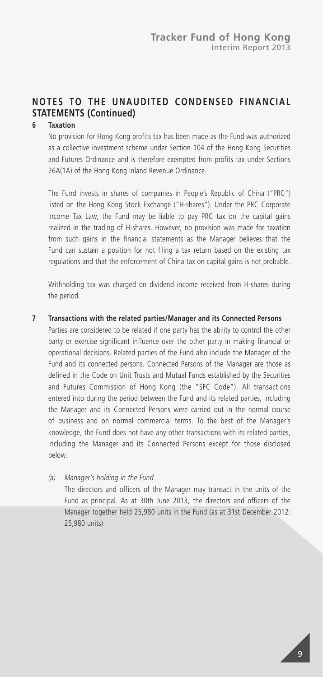### **6 Taxation**

No provision for Hong Kong profits tax has been made as the Fund was authorized as a collective investment scheme under Section 104 of the Hong Kong Securities and Futures Ordinance and is therefore exempted from profits tax under Sections 26A(1A) of the Hong Kong Inland Revenue Ordinance.

The Fund invests in shares of companies in People's Republic of China ("PRC") listed on the Hong Kong Stock Exchange ("H-shares"). Under the PRC Corporate Income Tax Law, the Fund may be liable to pay PRC tax on the capital gains realized in the trading of H-shares. However, no provision was made for taxation from such gains in the financial statements as the Manager believes that the Fund can sustain a position for not filing a tax return based on the existing tax regulations and that the enforcement of China tax on capital gains is not probable.

Withholding tax was charged on dividend income received from H-shares during the period.

#### **7 Transactions with the related parties/Manager and its Connected Persons**

Parties are considered to be related if one party has the ability to control the other party or exercise significant influence over the other party in making financial or operational decisions. Related parties of the Fund also include the Manager of the Fund and its connected persons. Connected Persons of the Manager are those as defined in the Code on Unit Trusts and Mutual Funds established by the Securities and Futures Commission of Hong Kong (the "SFC Code"). All transactions entered into during the period between the Fund and its related parties, including the Manager and its Connected Persons were carried out in the normal course of business and on normal commercial terms. To the best of the Manager's knowledge, the Fund does not have any other transactions with its related parties, including the Manager and its Connected Persons except for those disclosed below.

*(a) Manager's holding in the Fund* The directors and officers of the Manager may transact in the units of the Fund as principal. As at 30th June 2013, the directors and officers of the Manager together held 25,980 units in the Fund (as at 31st December 2012: 25,980 units).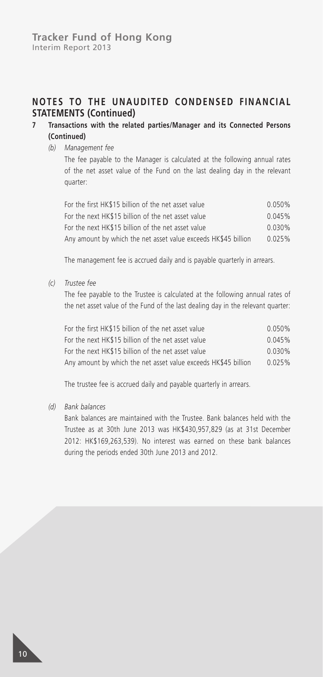### **7 Transactions with the related parties/Manager and its Connected Persons (Continued)**

*(b) Management fee*

The fee payable to the Manager is calculated at the following annual rates of the net asset value of the Fund on the last dealing day in the relevant quarter:

| For the first HK\$15 billion of the net asset value            | 0.050% |
|----------------------------------------------------------------|--------|
| For the next HK\$15 billion of the net asset value             | 0.045% |
| For the next HK\$15 billion of the net asset value             | 0.030% |
| Any amount by which the net asset value exceeds HK\$45 billion | 0.025% |

The management fee is accrued daily and is payable quarterly in arrears.

*(c) Trustee fee*

The fee payable to the Trustee is calculated at the following annual rates of the net asset value of the Fund of the last dealing day in the relevant quarter:

| For the first HK\$15 billion of the net asset value            | $0.050\%$ |
|----------------------------------------------------------------|-----------|
| For the next HK\$15 billion of the net asset value             | 0.045%    |
| For the next HK\$15 billion of the net asset value             | 0.030%    |
| Any amount by which the net asset value exceeds HK\$45 billion | 0.025%    |

The trustee fee is accrued daily and payable quarterly in arrears.

*(d) Bank balances*

Bank balances are maintained with the Trustee. Bank balances held with the Trustee as at 30th June 2013 was HK\$430,957,829 (as at 31st December 2012: HK\$169,263,539). No interest was earned on these bank balances during the periods ended 30th June 2013 and 2012.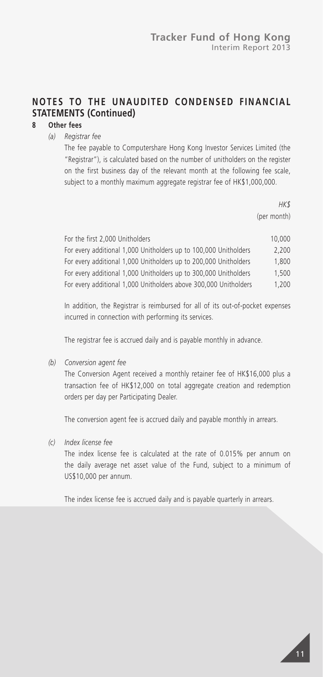### **8 Other fees**

*(a) Registrar fee*

The fee payable to Computershare Hong Kong Investor Services Limited (the "Registrar"), is calculated based on the number of unitholders on the register on the first business day of the relevant month at the following fee scale, subject to a monthly maximum aggregate registrar fee of HK\$1,000,000.

> *HK\$* (per month)

| For the first 2,000 Unitholders                                  | 10,000 |
|------------------------------------------------------------------|--------|
| For every additional 1,000 Unitholders up to 100,000 Unitholders | 2.200  |
| For every additional 1,000 Unitholders up to 200,000 Unitholders | 1.800  |
| For every additional 1,000 Unitholders up to 300,000 Unitholders | 1.500  |
| For every additional 1,000 Unitholders above 300,000 Unitholders | 1.200  |

In addition, the Registrar is reimbursed for all of its out-of-pocket expenses incurred in connection with performing its services.

The registrar fee is accrued daily and is payable monthly in advance.

*(b) Conversion agent fee*

The Conversion Agent received a monthly retainer fee of HK\$16,000 plus a transaction fee of HK\$12,000 on total aggregate creation and redemption orders per day per Participating Dealer.

The conversion agent fee is accrued daily and payable monthly in arrears.

*(c) Index license fee*

The index license fee is calculated at the rate of 0.015% per annum on the daily average net asset value of the Fund, subject to a minimum of US\$10,000 per annum.

The index license fee is accrued daily and is payable quarterly in arrears.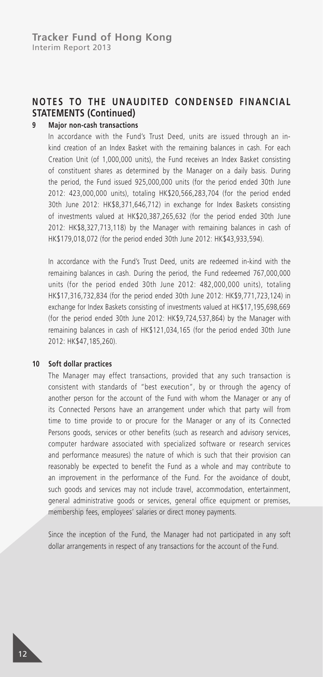#### **9 Major non-cash transactions**

In accordance with the Fund's Trust Deed, units are issued through an inkind creation of an Index Basket with the remaining balances in cash. For each Creation Unit (of 1,000,000 units), the Fund receives an Index Basket consisting of constituent shares as determined by the Manager on a daily basis. During the period, the Fund issued 925,000,000 units (for the period ended 30th June 2012: 423,000,000 units), totaling HK\$20,566,283,704 (for the period ended 30th June 2012: HK\$8,371,646,712) in exchange for Index Baskets consisting of investments valued at HK\$20,387,265,632 (for the period ended 30th June 2012: HK\$8,327,713,118) by the Manager with remaining balances in cash of HK\$179,018,072 (for the period ended 30th June 2012: HK\$43,933,594).

In accordance with the Fund's Trust Deed, units are redeemed in-kind with the remaining balances in cash. During the period, the Fund redeemed 767,000,000 units (for the period ended 30th June 2012: 482,000,000 units), totaling HK\$17,316,732,834 (for the period ended 30th June 2012: HK\$9,771,723,124) in exchange for Index Baskets consisting of investments valued at HK\$17,195,698,669 (for the period ended 30th June 2012: HK\$9,724,537,864) by the Manager with remaining balances in cash of HK\$121,034,165 (for the period ended 30th June 2012: HK\$47,185,260).

#### **10 Soft dollar practices**

The Manager may effect transactions, provided that any such transaction is consistent with standards of "best execution", by or through the agency of another person for the account of the Fund with whom the Manager or any of its Connected Persons have an arrangement under which that party will from time to time provide to or procure for the Manager or any of its Connected Persons goods, services or other benefits (such as research and advisory services, computer hardware associated with specialized software or research services and performance measures) the nature of which is such that their provision can reasonably be expected to benefit the Fund as a whole and may contribute to an improvement in the performance of the Fund. For the avoidance of doubt, such goods and services may not include travel, accommodation, entertainment, general administrative goods or services, general office equipment or premises, membership fees, employees' salaries or direct money payments.

Since the inception of the Fund, the Manager had not participated in any soft dollar arrangements in respect of any transactions for the account of the Fund.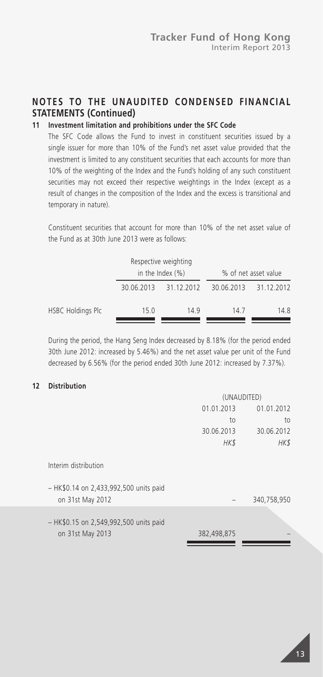### **11 Investment limitation and prohibitions under the SFC Code**

The SFC Code allows the Fund to invest in constituent securities issued by a single issuer for more than 10% of the Fund's net asset value provided that the investment is limited to any constituent securities that each accounts for more than 10% of the weighting of the Index and the Fund's holding of any such constituent securities may not exceed their respective weightings in the Index (except as a result of changes in the composition of the Index and the excess is transitional and temporary in nature).

Constituent securities that account for more than 10% of the net asset value of the Fund as at 30th June 2013 were as follows:

|                   |      | Respective weighting<br>in the Index $(\%)$ |            | % of net asset value |
|-------------------|------|---------------------------------------------|------------|----------------------|
|                   |      | 30.06.2013 31.12.2012                       | 30.06.2013 | 31.12.2012           |
| HSBC Holdings Plc | 15.0 | 149                                         | 147        | 14.8                 |

During the period, the Hang Seng Index decreased by 8.18% (for the period ended 30th June 2012: increased by 5.46%) and the net asset value per unit of the Fund decreased by 6.56% (for the period ended 30th June 2012: increased by 7.37%).

#### **12 Distribution**

|                                                            | (UNAUDITED)              |             |  |
|------------------------------------------------------------|--------------------------|-------------|--|
|                                                            | 01.01.2013<br>01.01.2012 |             |  |
|                                                            | to                       | to          |  |
|                                                            | 30.06.2013               | 30.06.2012  |  |
|                                                            | HK\$                     | HK\$        |  |
| Interim distribution                                       |                          |             |  |
| - HK\$0.14 on 2,433,992,500 units paid<br>on 31st May 2012 |                          | 340,758,950 |  |
| - HK\$0.15 on 2,549,992,500 units paid                     |                          |             |  |
| on 31st May 2013                                           | 382,498,875              |             |  |

13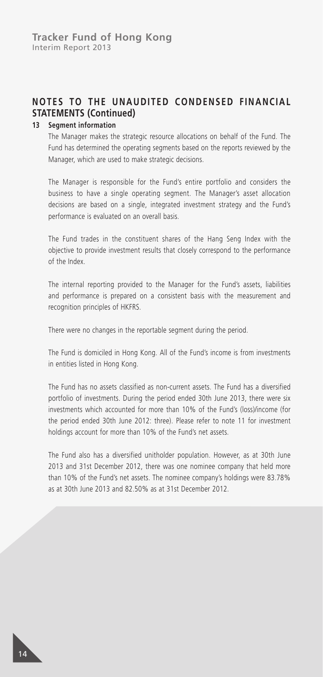#### **13 Segment information**

The Manager makes the strategic resource allocations on behalf of the Fund. The Fund has determined the operating segments based on the reports reviewed by the Manager, which are used to make strategic decisions.

The Manager is responsible for the Fund's entire portfolio and considers the business to have a single operating segment. The Manager's asset allocation decisions are based on a single, integrated investment strategy and the Fund's performance is evaluated on an overall basis.

The Fund trades in the constituent shares of the Hang Seng Index with the objective to provide investment results that closely correspond to the performance of the Index.

The internal reporting provided to the Manager for the Fund's assets, liabilities and performance is prepared on a consistent basis with the measurement and recognition principles of HKFRS.

There were no changes in the reportable segment during the period.

The Fund is domiciled in Hong Kong. All of the Fund's income is from investments in entities listed in Hong Kong.

The Fund has no assets classified as non-current assets. The Fund has a diversified portfolio of investments. During the period ended 30th June 2013, there were six investments which accounted for more than 10% of the Fund's (loss)/income (for the period ended 30th June 2012: three). Please refer to note 11 for investment holdings account for more than 10% of the Fund's net assets.

The Fund also has a diversified unitholder population. However, as at 30th June 2013 and 31st December 2012, there was one nominee company that held more than 10% of the Fund's net assets. The nominee company's holdings were 83.78% as at 30th June 2013 and 82.50% as at 31st December 2012.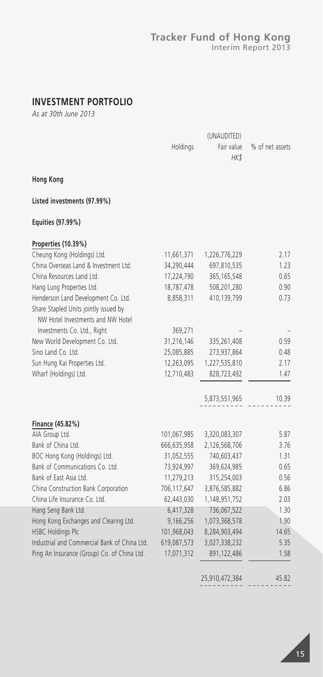#### **Tracker Fund of Hong Kong** Interim Report 2013

### **INVESTMENT PORTFOLIO**

*As at 30th June 2013*

|                                                                                                                   | Holdings    | (UNAUDITED)<br>Fair value<br>HK\$ | % of net assets |
|-------------------------------------------------------------------------------------------------------------------|-------------|-----------------------------------|-----------------|
| <b>Hong Kong</b>                                                                                                  |             |                                   |                 |
| Listed investments (97.99%)                                                                                       |             |                                   |                 |
| Equities (97.99%)                                                                                                 |             |                                   |                 |
| Properties (10.39%)                                                                                               |             |                                   |                 |
| Cheung Kong (Holdings) Ltd.                                                                                       | 11,661,371  | 1,226,776,229                     | 2.17            |
| China Overseas Land & Investment Ltd.                                                                             | 34,290,444  | 697,810,535                       | 1.23            |
| China Resources Land Ltd.                                                                                         | 17,224,790  | 365, 165, 548                     | 0.65            |
| Hang Lung Properties Ltd.                                                                                         | 18,787,478  | 508,201,280                       | 0.90            |
| Henderson Land Development Co. Ltd.<br>Share Stapled Units jointly issued by<br>NW Hotel Investments and NW Hotel | 8,858,311   | 410,139,799                       | 0.73            |
| Investments Co. Ltd., Right                                                                                       | 369,271     |                                   |                 |
| New World Development Co. Ltd.                                                                                    | 31,216,146  | 335,261,408                       | 0.59            |
| Sino Land Co. Ltd.                                                                                                | 25,085,885  | 273,937,864                       | 0.48            |
| Sun Hung Kai Properties Ltd.                                                                                      | 12,263,095  | 1,227,535,810                     | 2.17            |
| Wharf (Holdings) Ltd.                                                                                             | 12,710,483  | 828,723,492                       | 1.47            |
|                                                                                                                   |             | 5,873,551,965                     | 10.39           |
| Finance (45.82%)                                                                                                  |             |                                   |                 |
| AIA Group Ltd.                                                                                                    | 101,067,985 | 3,320,083,307                     | 5.87            |
| Bank of China Ltd.                                                                                                | 666,635,958 | 2,126,568,706                     | 3.76            |
| BOC Hong Kong (Holdings) Ltd.                                                                                     | 31,052,555  | 740,603,437                       | 1.31            |
| Bank of Communications Co. Ltd.                                                                                   | 73,924,997  | 369,624,985                       | 0.65            |
| Bank of East Asia Ltd.                                                                                            | 11,279,213  | 315,254,003                       | 0.56            |
| China Construction Bank Corporation                                                                               | 706,117,647 | 3,876,585,882                     | 6.86            |
| China Life Insurance Co. Ltd.                                                                                     | 62,443,030  | 1,148,951,752                     | 2.03            |
| Hang Seng Bank Ltd.                                                                                               | 6,417,328   | 736,067,522                       | 1.30            |
| Hong Kong Exchanges and Clearing Ltd.                                                                             | 9,166,256   | 1,073,368,578                     | 1.90            |
| HSBC Holdings Plc                                                                                                 | 101,968,043 | 8,284,903,494                     | 14.65           |
| Industrial and Commercial Bank of China Ltd.                                                                      | 619,087,573 | 3,027,338,232                     | 5.35            |
| Ping An Insurance (Group) Co. of China Ltd.                                                                       | 17,071,312  | 891,122,486                       | 1.58            |
|                                                                                                                   |             |                                   |                 |

25,910,472,384 45.82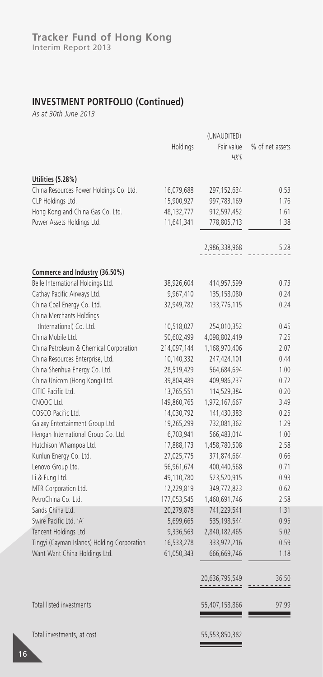### **INVESTMENT PORTFOLIO (Continued)**

*As at 30th June 2013*

|                                             |             | (UNAUDITED)                  |                 |
|---------------------------------------------|-------------|------------------------------|-----------------|
|                                             | Holdings    | Fair value                   | % of net assets |
|                                             |             | HK\$                         |                 |
|                                             |             |                              |                 |
| Utilities (5.28%)                           |             |                              |                 |
| China Resources Power Holdings Co. Ltd.     | 16,079,688  | 297,152,634                  | 0.53            |
| CLP Holdings Ltd.                           | 15,900,927  | 997,783,169                  | 1.76            |
| Hong Kong and China Gas Co. Ltd.            | 48,132,777  | 912,597,452                  | 1.61            |
| Power Assets Holdings Ltd.                  | 11,641,341  | 778,805,713                  | 1.38            |
|                                             |             | 2,986,338,968                | 5.28            |
| Commerce and Industry (36.50%)              |             |                              |                 |
| Belle International Holdings Ltd.           | 38,926,604  | 414,957,599                  | 0.73            |
| Cathay Pacific Airways Ltd.                 | 9,967,410   | 135,158,080                  | 0.24            |
| China Coal Energy Co. Ltd.                  | 32,949,782  | 133,776,115                  | 0.24            |
| China Merchants Holdings                    |             |                              |                 |
| (International) Co. Ltd.                    | 10,518,027  | 254,010,352                  | 0.45            |
| China Mobile Ltd.                           | 50,602,499  | 4,098,802,419                | 7.25            |
| China Petroleum & Chemical Corporation      | 214,097,144 | 1,168,970,406                | 2.07            |
| China Resources Enterprise, Ltd.            | 10,140,332  | 247,424,101                  | 0.44            |
| China Shenhua Energy Co. Ltd.               | 28,519,429  | 564,684,694                  | 1.00            |
| China Unicom (Hong Kong) Ltd.               | 39,804,489  | 409,986,237                  | 0.72            |
| CITIC Pacific Ltd.                          | 13,765,551  | 114,529,384                  | 0.20            |
| CNOOC Ltd.                                  | 149,860,765 | 1,972,167,667                | 3.49            |
| COSCO Pacific Ltd.                          | 14,030,792  | 141,430,383                  | 0.25            |
| Galaxy Entertainment Group Ltd.             | 19,265,299  | 732,081,362                  | 1.29            |
| Hengan International Group Co. Ltd.         | 6,703,941   | 566,483,014                  | 1.00            |
| Hutchison Whampoa Ltd.                      | 17,888,173  | 1,458,780,508                | 2.58            |
| Kunlun Energy Co. Ltd.                      | 27,025,775  | 371,874,664                  | 0.66            |
| Lenovo Group Ltd.                           | 56,961,674  | 400,440,568                  | 0.71            |
| Li & Fung Ltd.                              | 49,110,780  | 523,520,915                  | 0.93            |
| MTR Corporation Ltd.                        | 12,229,819  | 349,772,823                  | 0.62            |
| PetroChina Co. Ltd.                         | 177,053,545 | 1,460,691,746                | 2.58            |
| Sands China Ltd.                            | 20,279,878  | 741,229,541                  | 1.31            |
| Swire Pacific Ltd. 'A'                      | 5,699,665   | 535,198,544                  | 0.95            |
| Tencent Holdings Ltd.                       | 9,336,563   | 2,840,182,465                | 5.02            |
| Tingyi (Cayman Islands) Holding Corporation | 16,533,278  | 333,972,216                  | 0.59            |
| Want Want China Holdings Ltd.               | 61,050,343  | 666,669,746                  | 1.18            |
|                                             |             |                              |                 |
|                                             |             | 20,636,795,549<br>---------- | 36.50<br>----   |
| Total listed investments                    |             | 55,407,158,866               | 97.99           |
| Total investments, at cost                  |             | 55,553,850,382               |                 |

 $\hspace{1.5cm} =$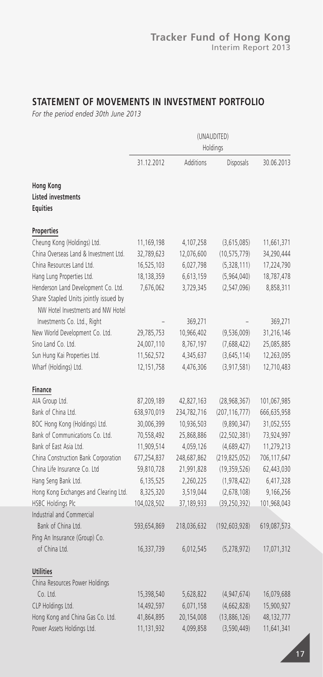### **STATEMENT OF MOVEMENTS IN INVESTMENT PORTFOLIO**

*For the period ended 30th June 2013*

|                                                                            | (UNAUDITED)<br>Holdings |             |                 |             |
|----------------------------------------------------------------------------|-------------------------|-------------|-----------------|-------------|
|                                                                            | 31.12.2012              | Additions   | Disposals       | 30.06.2013  |
| <b>Hong Kong</b><br><b>Listed investments</b><br><b>Equities</b>           |                         |             |                 |             |
| Properties                                                                 |                         |             |                 |             |
| Cheung Kong (Holdings) Ltd.                                                | 11,169,198              | 4,107,258   | (3,615,085)     | 11,661,371  |
| China Overseas Land & Investment Ltd.                                      | 32,789,623              | 12,076,600  | (10, 575, 779)  | 34,290,444  |
| China Resources Land Ltd.                                                  | 16,525,103              | 6,027,798   | (5,328,111)     | 17,224,790  |
| Hang Lung Properties Ltd.                                                  | 18, 138, 359            | 6,613,159   | (5,964,040)     | 18,787,478  |
| Henderson Land Development Co. Ltd.                                        | 7,676,062               | 3,729,345   | (2, 547, 096)   | 8,858,311   |
| Share Stapled Units jointly issued by<br>NW Hotel Investments and NW Hotel |                         |             |                 |             |
| Investments Co. Ltd., Right                                                |                         | 369,271     |                 | 369,271     |
| New World Development Co. Ltd.                                             | 29,785,753              | 10,966,402  | (9,536,009)     | 31,216,146  |
| Sino Land Co. Ltd.                                                         | 24,007,110              | 8,767,197   | (7,688,422)     | 25,085,885  |
| Sun Hung Kai Properties Ltd.                                               | 11,562,572              | 4,345,637   | (3,645,114)     | 12,263,095  |
| Wharf (Holdings) Ltd.                                                      | 12, 151, 758            | 4,476,306   | (3, 917, 581)   | 12,710,483  |
| Finance                                                                    |                         |             |                 |             |
| AIA Group Ltd.                                                             | 87,209,189              | 42,827,163  | (28,968,367)    | 101,067,985 |
| Bank of China Ltd.                                                         | 638,970,019             | 234,782,716 | (207, 116, 777) | 666,635,958 |
| BOC Hong Kong (Holdings) Ltd.                                              | 30,006,399              | 10,936,503  | (9,890,347)     | 31,052,555  |
| Bank of Communications Co. Ltd.                                            | 70,558,492              | 25,868,886  | (22, 502, 381)  | 73,924,997  |
| Bank of East Asia Ltd.                                                     | 11,909,514              | 4,059,126   | (4,689,427)     | 11,279,213  |
| China Construction Bank Corporation                                        | 677,254,837             | 248,687,862 | (219, 825, 052) | 706,117,647 |
| China Life Insurance Co. Ltd                                               | 59,810,728              | 21,991,828  | (19,359,526)    | 62,443,030  |
| Hang Seng Bank Ltd.                                                        | 6,135,525               | 2,260,225   | (1, 978, 422)   | 6,417,328   |
| Hong Kong Exchanges and Clearing Ltd.                                      | 8,325,320               | 3,519,044   | (2,678,108)     | 9,166,256   |
| <b>HSBC Holdings Plc</b>                                                   | 104,028,502             | 37,189,933  | (39, 250, 392)  | 101,968,043 |
| Industrial and Commercial                                                  |                         |             |                 |             |
| Bank of China Ltd.                                                         | 593,654,869             | 218,036,632 | (192, 603, 928) | 619,087,573 |
| Ping An Insurance (Group) Co.                                              |                         |             |                 |             |
| of China Ltd.                                                              | 16,337,739              | 6,012,545   | (5,278,972)     | 17,071,312  |
| <b>Utilities</b>                                                           |                         |             |                 |             |
| China Resources Power Holdings                                             |                         |             |                 |             |
| Co. Ltd.                                                                   | 15,398,540              | 5,628,822   | (4, 947, 674)   | 16,079,688  |
| CLP Holdings Ltd.                                                          | 14,492,597              | 6,071,158   | (4,662,828)     | 15,900,927  |
| Hong Kong and China Gas Co. Ltd.                                           | 41,864,895              | 20,154,008  | (13,886,126)    | 48,132,777  |
| Power Assets Holdings Ltd.                                                 | 11,131,932              | 4,099,858   | (3, 590, 449)   | 11,641,341  |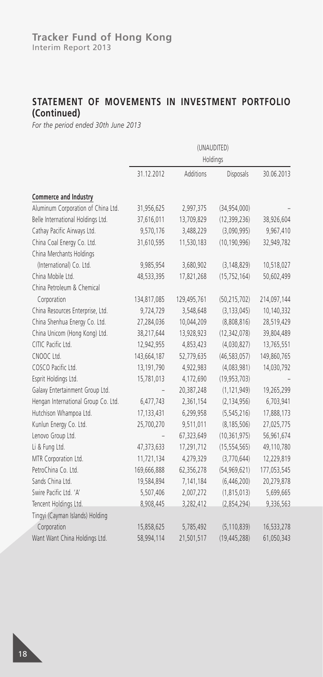### **STATEMENT OF MOVEMENTS IN INVESTMENT PORTFOLIO (Continued)**

*For the period ended 30th June 2013*

|                                     | (UNAUDITED)<br>Holdings |             |                |             |
|-------------------------------------|-------------------------|-------------|----------------|-------------|
|                                     | 31.12.2012              | Additions   | Disposals      | 30.06.2013  |
| Commerce and Industry               |                         |             |                |             |
| Aluminum Corporation of China Ltd.  | 31,956,625              | 2,997,375   | (34,954,000)   |             |
| Belle International Holdings Ltd.   | 37,616,011              | 13,709,829  | (12, 399, 236) | 38,926,604  |
| Cathay Pacific Airways Ltd.         | 9,570,176               | 3,488,229   | (3,090,995)    | 9,967,410   |
| China Coal Energy Co. Ltd.          | 31,610,595              | 11,530,183  | (10, 190, 996) | 32,949,782  |
| China Merchants Holdings            |                         |             |                |             |
| (International) Co. Ltd.            | 9,985,954               | 3,680,902   | (3, 148, 829)  | 10,518,027  |
| China Mobile Ltd.                   | 48,533,395              | 17,821,268  | (15, 752, 164) | 50,602,499  |
| China Petroleum & Chemical          |                         |             |                |             |
| Corporation                         | 134,817,085             | 129,495,761 | (50, 215, 702) | 214,097,144 |
| China Resources Enterprise, Ltd.    | 9,724,729               | 3,548,648   | (3, 133, 045)  | 10,140,332  |
| China Shenhua Energy Co. Ltd.       | 27,284,036              | 10,044,209  | (8,808,816)    | 28,519,429  |
| China Unicom (Hong Kong) Ltd.       | 38,217,644              | 13,928,923  | (12, 342, 078) | 39,804,489  |
| CITIC Pacific Ltd.                  | 12,942,955              | 4,853,423   | (4,030,827)    | 13,765,551  |
| CNOOC Ltd.                          | 143,664,187             | 52,779,635  | (46, 583, 057) | 149,860,765 |
| COSCO Pacific Ltd.                  | 13,191,790              | 4,922,983   | (4,083,981)    | 14,030,792  |
| Esprit Holdings Ltd.                | 15,781,013              | 4,172,690   | (19, 953, 703) |             |
| Galaxy Entertainment Group Ltd.     |                         | 20,387,248  | (1, 121, 949)  | 19,265,299  |
| Hengan International Group Co. Ltd. | 6,477,743               | 2,361,154   | (2, 134, 956)  | 6,703,941   |
| Hutchison Whampoa Ltd.              | 17,133,431              | 6,299,958   | (5, 545, 216)  | 17,888,173  |
| Kunlun Energy Co. Ltd.              | 25,700,270              | 9,511,011   | (8, 185, 506)  | 27,025,775  |
| Lenovo Group Ltd.                   |                         | 67,323,649  | (10, 361, 975) | 56,961,674  |
| Li & Fung Ltd.                      | 47,373,633              | 17,291,712  | (15, 554, 565) | 49,110,780  |
| MTR Corporation Ltd.                | 11,721,134              | 4,279,329   | (3,770,644)    | 12,229,819  |
| PetroChina Co. Ltd.                 | 169,666,888             | 62,356,278  | (54, 969, 621) | 177,053,545 |
| Sands China Ltd.                    | 19,584,894              | 7,141,184   | (6,446,200)    | 20,279,878  |
| Swire Pacific Ltd. 'A'              | 5,507,406               | 2,007,272   | (1, 815, 013)  | 5,699,665   |
| Tencent Holdings Ltd.               | 8,908,445               | 3,282,412   | (2,854,294)    | 9,336,563   |
| Tingyi (Cayman Islands) Holding     |                         |             |                |             |
| Corporation                         | 15,858,625              | 5,785,492   | (5, 110, 839)  | 16,533,278  |
| Want Want China Holdings Ltd.       | 58,994,114              | 21,501,517  | (19, 445, 288) | 61,050,343  |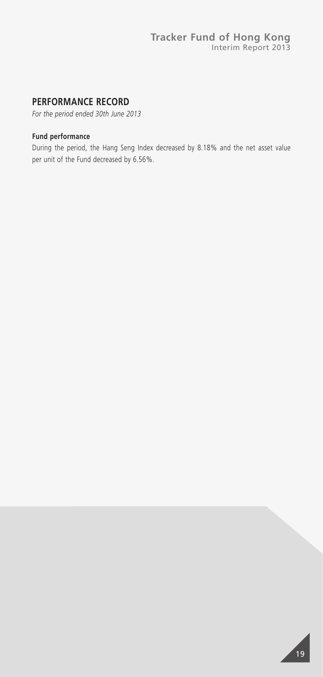### **PERFORMANCE RECORD**

*For the period ended 30th June 2013*

#### **Fund performance**

During the period, the Hang Seng Index decreased by 8.18% and the net asset value per unit of the Fund decreased by 6.56%.